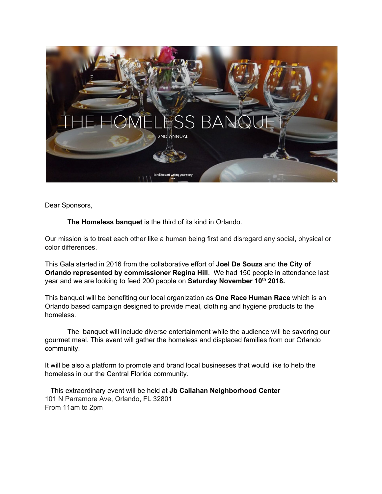

Dear Sponsors,

**The Homeless banquet** is the third of its kind in Orlando.

Our mission is to treat each other like a human being first and disregard any social, physical or color differences.

This Gala started in 2016 from the collaborative effort of **Joel De Souza** and t**he City of Orlando represented by commissioner Regina Hill**. We had 150 people in attendance last year and we are looking to feed 200 people on **Saturday November 10 th 2018.**

This banquet will be benefiting our local organization as **One Race Human Race** which is an Orlando based campaign designed to provide meal, clothing and hygiene products to the homeless.

The banquet will include diverse entertainment while the audience will be savoring our gourmet meal. This event will gather the homeless and displaced families from our Orlando community.

It will be also a platform to promote and brand local businesses that would like to help the homeless in our the Central Florida community.

This extraordinary event will be held at **Jb Callahan Neighborhood Center** 101 N Parramore Ave, Orlando, FL 32801 From 11am to 2pm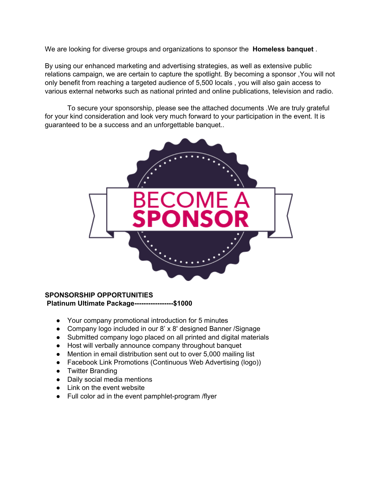We are looking for diverse groups and organizations to sponsor the **Homeless banquet** .

By using our enhanced marketing and advertising strategies, as well as extensive public relations campaign, we are certain to capture the spotlight. By becoming a sponsor ,You will not only benefit from reaching a targeted audience of 5,500 locals , you will also gain access to various external networks such as national printed and online publications, television and radio.

To secure your sponsorship, please see the attached documents .We are truly grateful for your kind consideration and look very much forward to your participation in the event. It is guaranteed to be a success and an unforgettable banquet..



## **SPONSORSHIP OPPORTUNITIES**

**Platinum Ultimate Package-----------------\$1000**

- Your company promotional introduction for 5 minutes
- Company logo included in our 8' x 8' designed Banner / Signage
- Submitted company logo placed on all printed and digital materials
- Host will verbally announce company throughout banquet
- Mention in email distribution sent out to over 5,000 mailing list
- Facebook Link Promotions (Continuous Web Advertising (logo))
- Twitter Branding
- Daily social media mentions
- Link on the event website
- Full color ad in the event pamphlet-program /flyer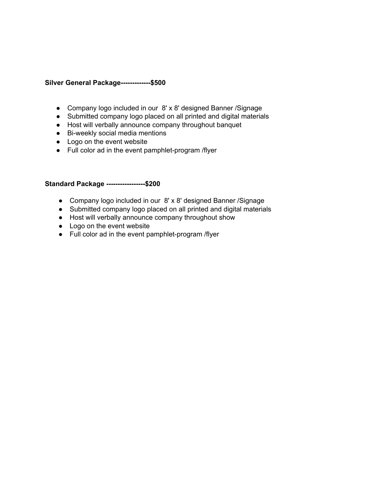## **Silver General Package-------------\$500**

- Company logo included in our 8' x 8' designed Banner /Signage
- Submitted company logo placed on all printed and digital materials
- Host will verbally announce company throughout banquet
- Bi-weekly social media mentions
- Logo on the event website
- Full color ad in the event pamphlet-program /flyer

## **Standard Package -----------------\$200**

- Company logo included in our 8' x 8' designed Banner / Signage
- Submitted company logo placed on all printed and digital materials
- Host will verbally announce company throughout show
- Logo on the event website
- Full color ad in the event pamphlet-program /flyer